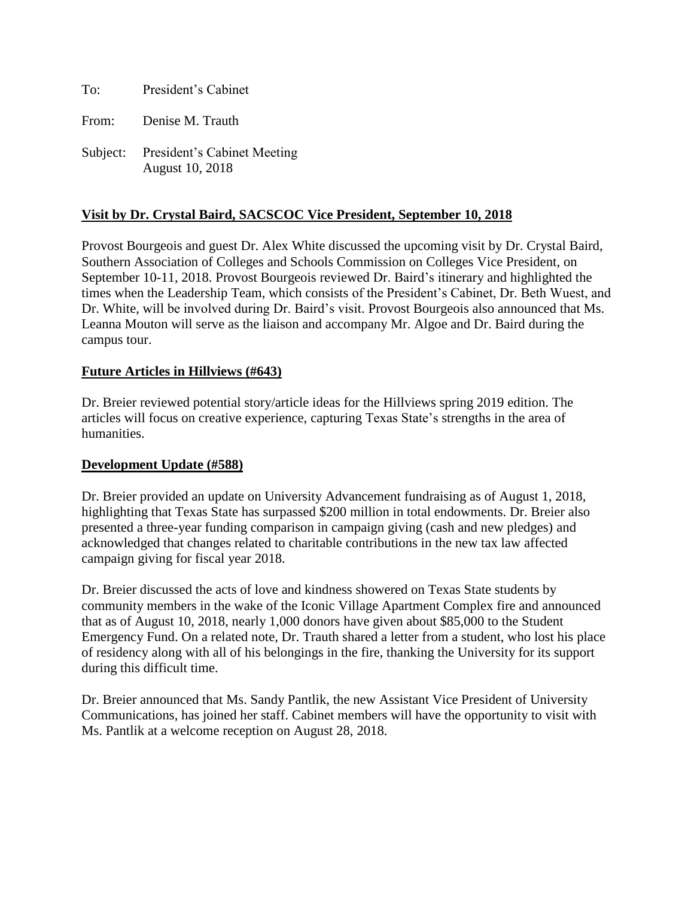To: President's Cabinet

From: Denise M. Trauth

Subject: President's Cabinet Meeting August 10, 2018

## **Visit by Dr. Crystal Baird, SACSCOC Vice President, September 10, 2018**

Provost Bourgeois and guest Dr. Alex White discussed the upcoming visit by Dr. Crystal Baird, Southern Association of Colleges and Schools Commission on Colleges Vice President, on September 10-11, 2018. Provost Bourgeois reviewed Dr. Baird's itinerary and highlighted the times when the Leadership Team, which consists of the President's Cabinet, Dr. Beth Wuest, and Dr. White, will be involved during Dr. Baird's visit. Provost Bourgeois also announced that Ms. Leanna Mouton will serve as the liaison and accompany Mr. Algoe and Dr. Baird during the campus tour.

### **Future Articles in Hillviews (#643)**

Dr. Breier reviewed potential story/article ideas for the Hillviews spring 2019 edition. The articles will focus on creative experience, capturing Texas State's strengths in the area of humanities.

### **Development Update (#588)**

Dr. Breier provided an update on University Advancement fundraising as of August 1, 2018, highlighting that Texas State has surpassed \$200 million in total endowments. Dr. Breier also presented a three-year funding comparison in campaign giving (cash and new pledges) and acknowledged that changes related to charitable contributions in the new tax law affected campaign giving for fiscal year 2018.

Dr. Breier discussed the acts of love and kindness showered on Texas State students by community members in the wake of the Iconic Village Apartment Complex fire and announced that as of August 10, 2018, nearly 1,000 donors have given about \$85,000 to the Student Emergency Fund. On a related note, Dr. Trauth shared a letter from a student, who lost his place of residency along with all of his belongings in the fire, thanking the University for its support during this difficult time.

Dr. Breier announced that Ms. Sandy Pantlik, the new Assistant Vice President of University Communications, has joined her staff. Cabinet members will have the opportunity to visit with Ms. Pantlik at a welcome reception on August 28, 2018.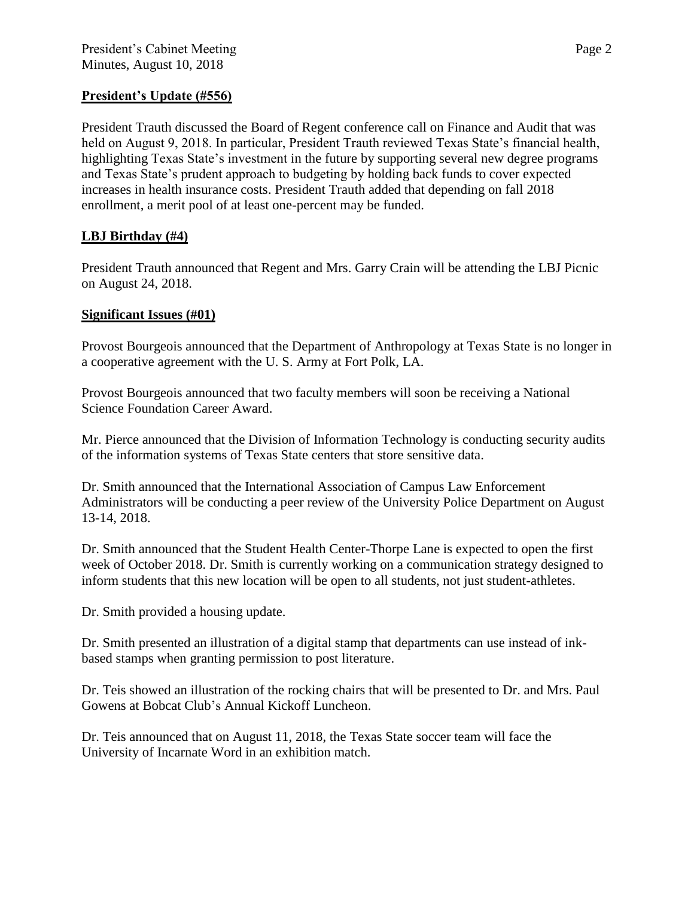# **President's Update (#556)**

President Trauth discussed the Board of Regent conference call on Finance and Audit that was held on August 9, 2018. In particular, President Trauth reviewed Texas State's financial health, highlighting Texas State's investment in the future by supporting several new degree programs and Texas State's prudent approach to budgeting by holding back funds to cover expected increases in health insurance costs. President Trauth added that depending on fall 2018 enrollment, a merit pool of at least one-percent may be funded.

# **LBJ Birthday (#4)**

President Trauth announced that Regent and Mrs. Garry Crain will be attending the LBJ Picnic on August 24, 2018.

## **Significant Issues (#01)**

Provost Bourgeois announced that the Department of Anthropology at Texas State is no longer in a cooperative agreement with the U. S. Army at Fort Polk, LA.

Provost Bourgeois announced that two faculty members will soon be receiving a National Science Foundation Career Award.

Mr. Pierce announced that the Division of Information Technology is conducting security audits of the information systems of Texas State centers that store sensitive data.

Dr. Smith announced that the International Association of Campus Law Enforcement Administrators will be conducting a peer review of the University Police Department on August 13-14, 2018.

Dr. Smith announced that the Student Health Center-Thorpe Lane is expected to open the first week of October 2018. Dr. Smith is currently working on a communication strategy designed to inform students that this new location will be open to all students, not just student-athletes.

Dr. Smith provided a housing update.

Dr. Smith presented an illustration of a digital stamp that departments can use instead of inkbased stamps when granting permission to post literature.

Dr. Teis showed an illustration of the rocking chairs that will be presented to Dr. and Mrs. Paul Gowens at Bobcat Club's Annual Kickoff Luncheon.

Dr. Teis announced that on August 11, 2018, the Texas State soccer team will face the University of Incarnate Word in an exhibition match.